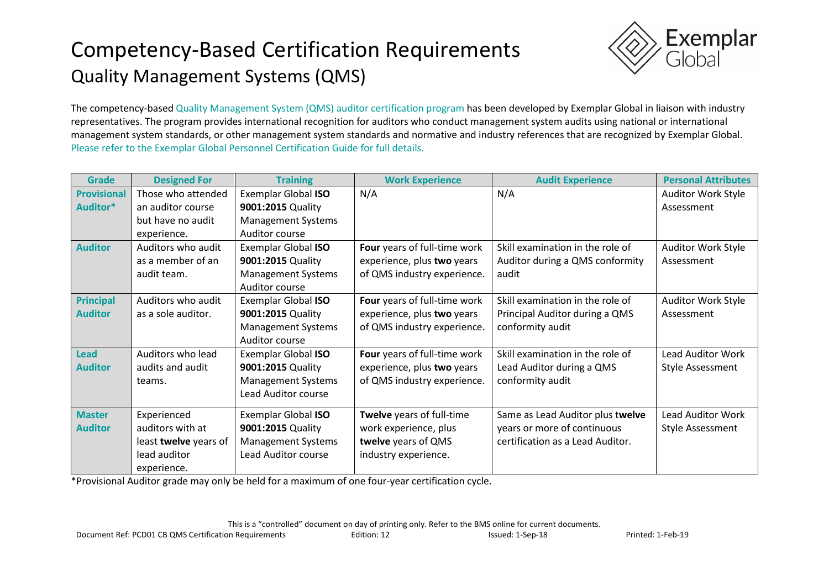# Competency-Based Certification Requirements Quality Management Systems (QMS)



The competency-based Quality Management System (QMS) auditor certification program has been developed by Exemplar Global in liaison with industry representatives. The program provides international recognition for auditors who conduct management system audits using national or international management system standards, or other management system standards and normative and industry references that are recognized by Exemplar Global. Please refer to the Exemplar Global Personnel Certification Guide for full details.

| <b>Grade</b>       | <b>Designed For</b>   | <b>Training</b>            | <b>Work Experience</b>       | <b>Audit Experience</b>          | <b>Personal Attributes</b> |
|--------------------|-----------------------|----------------------------|------------------------------|----------------------------------|----------------------------|
| <b>Provisional</b> | Those who attended    | Exemplar Global ISO        | N/A                          | N/A                              | <b>Auditor Work Style</b>  |
| Auditor*           | an auditor course     | 9001:2015 Quality          |                              |                                  | Assessment                 |
|                    | but have no audit     | <b>Management Systems</b>  |                              |                                  |                            |
|                    | experience.           | Auditor course             |                              |                                  |                            |
| <b>Auditor</b>     | Auditors who audit    | <b>Exemplar Global ISO</b> | Four years of full-time work | Skill examination in the role of | Auditor Work Style         |
|                    | as a member of an     | 9001:2015 Quality          | experience, plus two years   | Auditor during a QMS conformity  | Assessment                 |
|                    | audit team.           | <b>Management Systems</b>  | of QMS industry experience.  | audit                            |                            |
|                    |                       | Auditor course             |                              |                                  |                            |
| <b>Principal</b>   | Auditors who audit    | <b>Exemplar Global ISO</b> | Four years of full-time work | Skill examination in the role of | Auditor Work Style         |
| <b>Auditor</b>     | as a sole auditor.    | 9001:2015 Quality          | experience, plus two years   | Principal Auditor during a QMS   | Assessment                 |
|                    |                       | <b>Management Systems</b>  | of QMS industry experience.  | conformity audit                 |                            |
|                    |                       | Auditor course             |                              |                                  |                            |
| <b>Lead</b>        | Auditors who lead     | Exemplar Global ISO        | Four years of full-time work | Skill examination in the role of | <b>Lead Auditor Work</b>   |
| <b>Auditor</b>     | audits and audit      | 9001:2015 Quality          | experience, plus two years   | Lead Auditor during a QMS        | <b>Style Assessment</b>    |
|                    | teams.                | <b>Management Systems</b>  | of QMS industry experience.  | conformity audit                 |                            |
|                    |                       | Lead Auditor course        |                              |                                  |                            |
| <b>Master</b>      | Experienced           | Exemplar Global ISO        | Twelve years of full-time    | Same as Lead Auditor plus twelve | <b>Lead Auditor Work</b>   |
| <b>Auditor</b>     | auditors with at      | 9001:2015 Quality          | work experience, plus        | years or more of continuous      | Style Assessment           |
|                    | least twelve years of | <b>Management Systems</b>  | twelve years of QMS          | certification as a Lead Auditor. |                            |
|                    | lead auditor          | Lead Auditor course        | industry experience.         |                                  |                            |
|                    | experience.           |                            |                              |                                  |                            |
|                    |                       |                            |                              |                                  |                            |

\*Provisional Auditor grade may only be held for a maximum of one four-year certification cycle.

This is a "controlled" document on day of printing only. Refer to the BMS online for current documents.